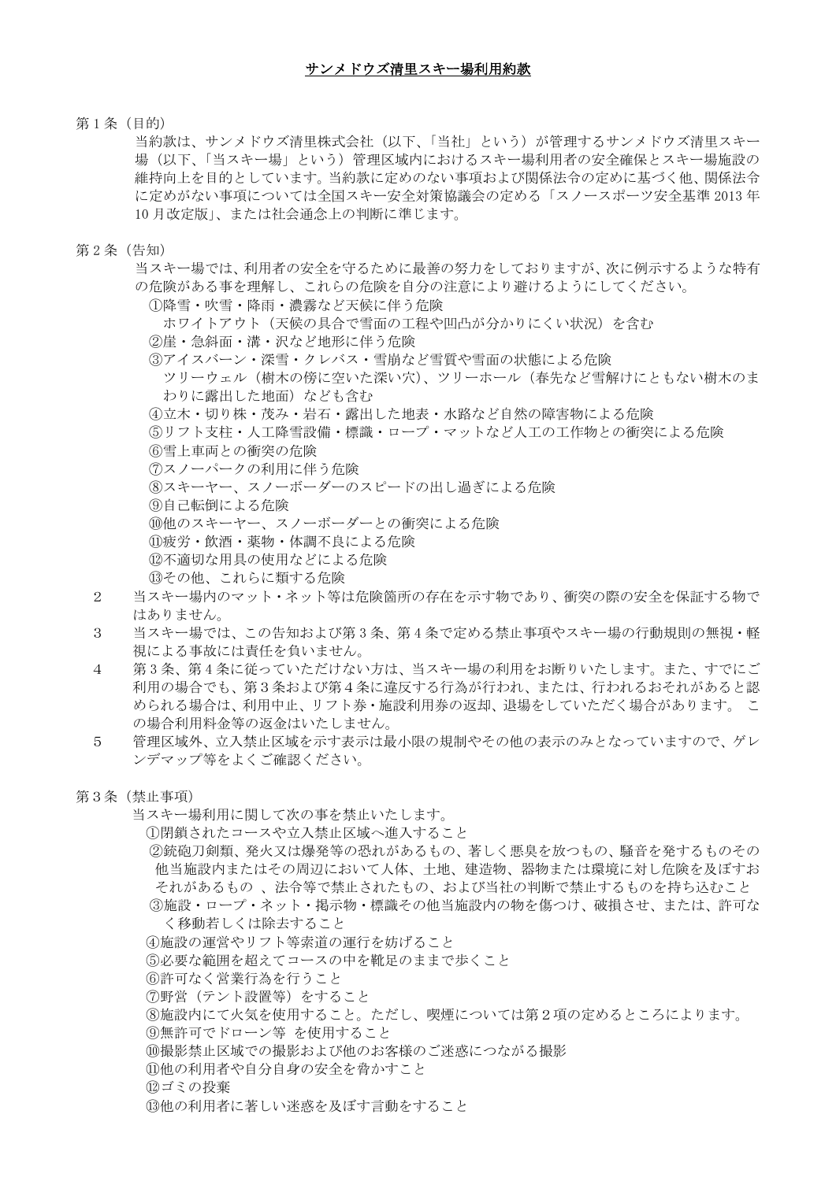第1条(目的)

当約款は、サンメドウズ清里株式会社(以下、「当社」という)が管理するサンメドウズ清里スキー 場(以下、「当スキー場」という)管理区域内におけるスキー場利用者の安全確保とスキー場施設の 維持向上を目的としています。当約款に定めのない事項および関係法令の定めに基づく他、関係法令 に定めがない事項については全国スキー安全対策協議会の定める「スノースポーツ安全基準 2013 年 10 月改定版」、または社会通念上の判断に準じます。

第 2 条(告知)

当スキー場では、利用者の安全を守るために最善の努力をしておりますが、次に例示するような特有 の危険がある事を理解し、これらの危険を自分の注意により避けるようにしてください。

①降雪・吹雪・降雨・濃霧など天候に伴う危険

ホワイトアウト(天候の具合で雪面の工程や凹凸が分かりにくい状況)を含む

- ②崖・急斜面・溝・沢など地形に伴う危険
	- ③アイスバーン・深雪・クレバス・雪崩など雪質や雪面の状態による危険
		- ツリーウェル(樹木の傍に空いた深い穴)、ツリーホール(春先など雪解けにともない樹木のま わりに露出した地面)なども含む
	- ④立木・切り株・茂み・岩石・露出した地表・水路など自然の障害物による危険
	- ⑤リフト支柱・人工降雪設備・標識・ロープ・マットなど人工の工作物との衝突による危険
	- ⑥雪上車両との衝突の危険
	- ⑦スノーパークの利用に伴う危険
	- ⑧スキーヤー、スノーボーダーのスピードの出し過ぎによる危険
	- ⑨自己転倒による危険
	- ⑩他のスキーヤー、スノーボーダーとの衝突による危険
	- ⑪疲労・飲酒・薬物・体調不良による危険
	- ⑫不適切な用具の使用などによる危険
- ⑬その他、これらに類する危険
- 2 当スキー場内のマット・ネット等は危険箇所の存在を示す物であり、衝突の際の安全を保証する物で はありません。
- 3 当スキー場では、この告知および第 3 条、第 4 条で定める禁止事項やスキー場の行動規則の無視・軽 視による事故には責任を負いません。
- 4 第 3 条、第 4 条に従っていただけない方は、当スキー場の利用をお断りいたします。また、すでにご 利用の場合でも、第3条および第4条に違反する行為が行われ、または、行われるおそれがあると認 められる場合は、利用中止、リフト券・施設利用券の返却、退場をしていただく場合があります。 こ の場合利用料金等の返金はいたしません。
- 5 管理区域外、立入禁止区域を示す表示は最小限の規制やその他の表示のみとなっていますので、ゲレ ンデマップ等をよくご確認ください。
- 第3条(禁止事項)

当スキー場利用に関して次の事を禁止いたします。

①閉鎖されたコースや立入禁止区域へ進入すること

- ②銃砲刀剣類、発火又は爆発等の恐れがあるもの、著しく悪臭を放つもの、騒音を発するものその 他当施設内またはその周辺において人体、土地、建造物、器物または環境に対し危険を及ぼすお それがあるもの 、法令等で禁止されたもの、および当社の判断で禁止するものを持ち込むこと ③施設・ロープ・ネット・掲示物・標識その他当施設内の物を傷つけ、破損させ、または、許可な
- く移動若しくは除去すること ④施設の運営やリフト等索道の運行を妨げること
- ⑤必要な範囲を超えてコースの中を靴足のままで歩くこと
- 
- ⑥許可なく営業行為を行うこと
- ⑦野営(テント設置等)をすること
- ⑧施設内にて火気を使用すること。ただし、喫煙については第2項の定めるところによります。
- ⑨無許可でドローン等 を使用すること
- ⑩撮影禁止区域での撮影および他のお客様のご迷惑につながる撮影
- ⑪他の利用者や自分自身の安全を脅かすこと

⑫ゴミの投棄

⑬他の利用者に著しい迷惑を及ぼす言動をすること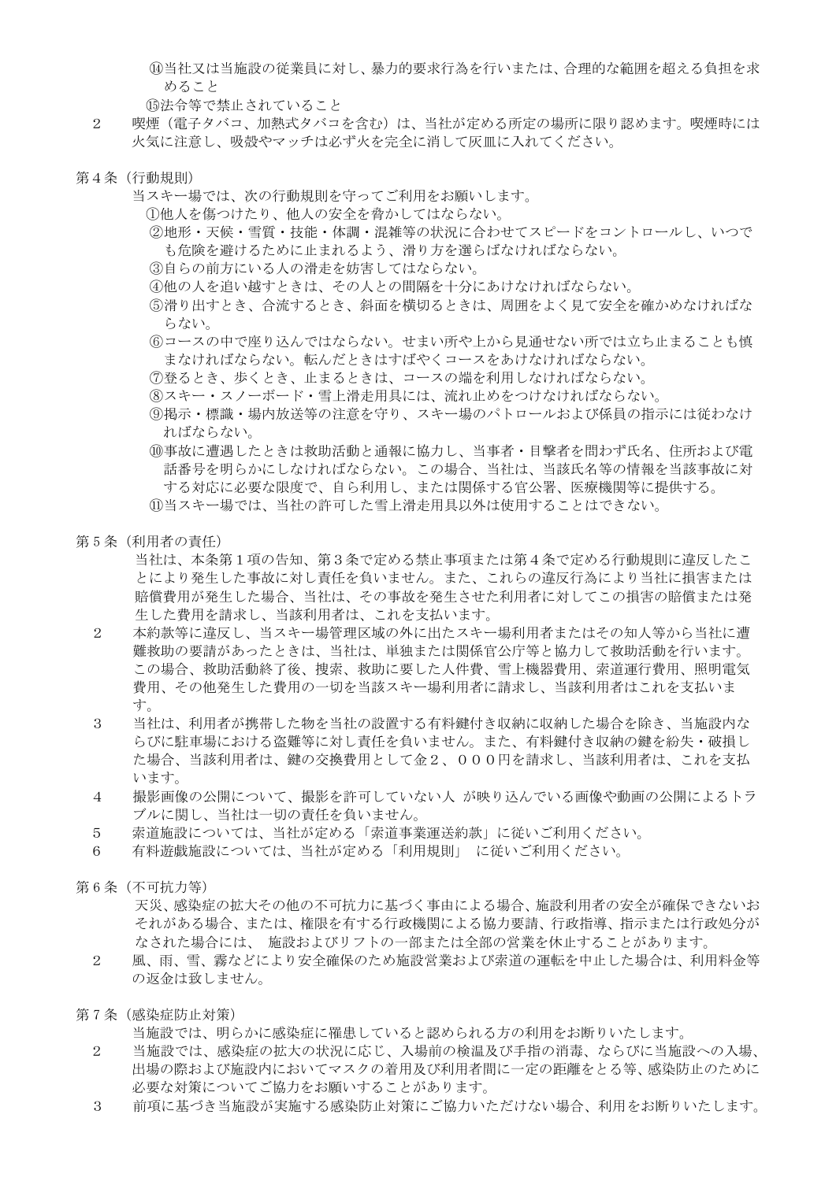⑭当社又は当施設の従業員に対し、暴力的要求行為を行いまたは、合理的な範囲を超える負担を求 めること

⑮法令等で禁止されていること

- 2 喫煙(電子タバコ、加熱式タバコを含む)は、当社が定める所定の場所に限り認めます。喫煙時には 火気に注意し、吸殻やマッチは必ず火を完全に消して灰皿に入れてください。
- 第4条(行動規則)
	- 当スキー場では、次の行動規則を守ってご利用をお願いします。

①他人を傷つけたり、他人の安全を脅かしてはならない。

②地形・天候・雪質・技能・体調・混雑等の状況に合わせてスピードをコントロールし、いつで も危険を避けるために止まれるよう、滑り方を選らばなければならない。

- ③自らの前方にいる人の滑走を妨害してはならない。
- ④他の人を追い越すときは、その人との間隔を十分にあけなければならない。

⑤滑り出すとき、合流するとき、斜面を横切るときは、周囲をよく見て安全を確かめなければな らない。

- ⑥コースの中で座り込んではならない。せまい所や上から見通せない所では立ち止まることも慎 まなければならない。転んだときはすばやくコースをあけなければならない。
- ⑦登るとき、歩くとき、止まるときは、コースの端を利用しなければならない。
- ⑧スキー・スノーボード・雪上滑走用具には、流れ止めをつけなければならない。
- ⑨掲示・標識・場内放送等の注意を守り、スキー場のパトロールおよび係員の指示には従わなけ ればならない。
- ⑩事故に遭遇したときは救助活動と通報に協力し、当事者・目撃者を問わず氏名、住所および電 話番号を明らかにしなければならない。この場合、当社は、当該氏名等の情報を当該事故に対 する対応に必要な限度で、自ら利用し、または関係する官公署、医療機関等に提供する。 ⑪当スキー場では、当社の許可した雪上滑走用具以外は使用することはできない。
- 第 5 条(利用者の責任)

当社は、本条第1項の告知、第3条で定める禁止事項または第4条で定める行動規則に違反したこ とにより発生した事故に対し責任を負いません。また、これらの違反行為により当社に損害または 賠償費用が発生した場合、当社は、その事故を発生させた利用者に対してこの損害の賠償または発 生した費用を請求し、当該利用者は、これを支払います。

- 2 本約款等に違反し、当スキー場管理区域の外に出たスキー場利用者またはその知人等から当社に遭 難救助の要請があったときは、当社は、単独または関係官公庁等と協力して救助活動を行います。 この場合、救助活動終了後、捜索、救助に要した人件費、雪上機器費用、索道運行費用、照明電気 費用、その他発生した費用の一切を当該スキー場利用者に請求し、当該利用者はこれを支払いま す。
- 3 当社は、利用者が携帯した物を当社の設置する有料鍵付き収納に収納した場合を除き、当施設内な らびに駐車場における盗難等に対し責任を負いません。また、有料鍵付き収納の鍵を紛失・破損し た場合、当該利用者は、鍵の交換費用として金2、000円を請求し、当該利用者は、これを支払 います。
- 4 撮影画像の公開について、撮影を許可していない人 が映り込んでいる画像や動画の公開によるトラ ブルに関し、当社は一切の責任を負いません。
- 5 索道施設については、当社が定める「索道事業運送約款」に従いご利用ください。
- 6 有料遊戯施設については、当社が定める「利用規則」 に従いご利用ください。

第 6 条(不可抗力等)

天災、感染症の拡大その他の不可抗力に基づく事由による場合、施設利用者の安全が確保できないお それがある場合、または、権限を有する行政機関による協力要請、行政指導、指示または行政処分が なされた場合には、 施設およびリフトの一部または全部の営業を休止することがあります。

- 2 風、雨、雪、霧などにより安全確保のため施設営業および索道の運転を中止した場合は、利用料金等 の返金は致しません。
- 第 7 条(感染症防止対策)

当施設では、明らかに感染症に罹患していると認められる方の利用をお断りいたします。

- 2 当施設では、感染症の拡大の状況に応じ、入場前の検温及び手指の消毒、ならびに当施設への入場、 出場の際および施設内においてマスクの着用及び利用者間に一定の距離をとる等、感染防止のために 必要な対策についてご協力をお願いすることがあります。
- 3 前項に基づき当施設が実施する感染防止対策にご協力いただけない場合、利用をお断りいたします。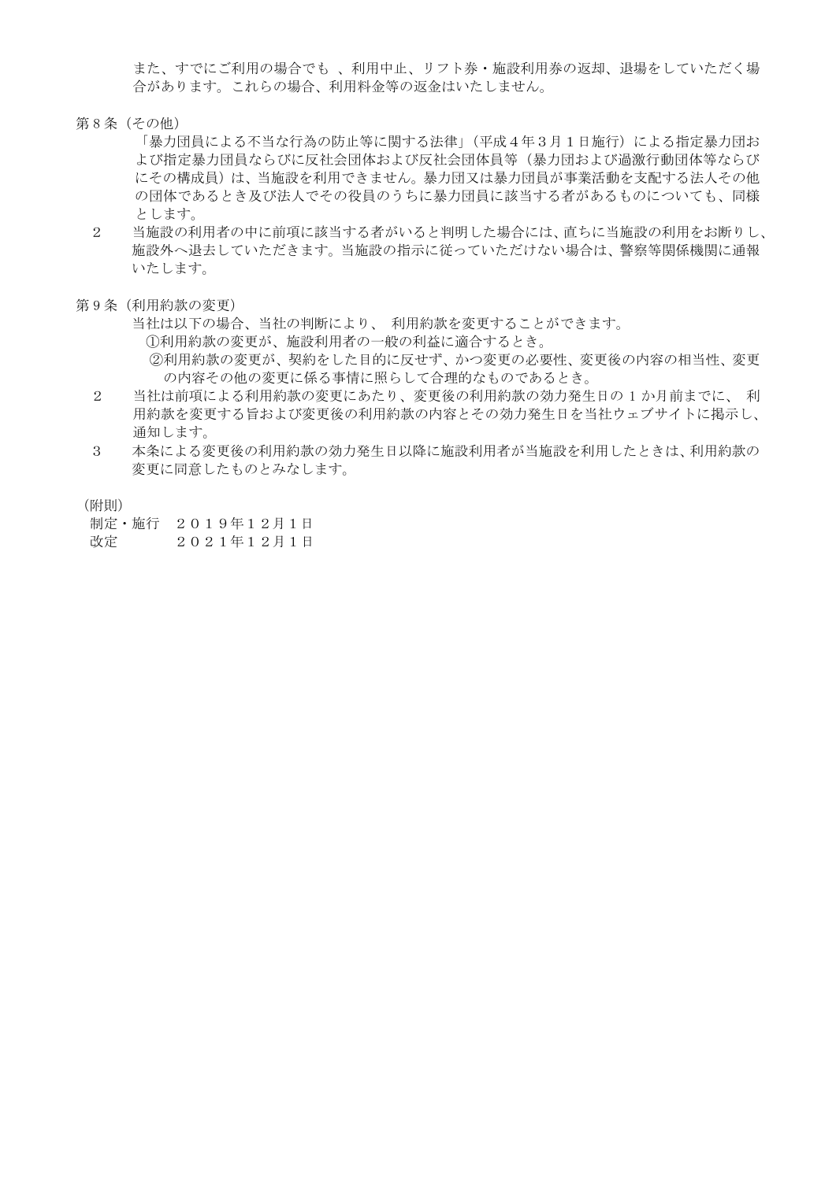また、すでにご利用の場合でも 、利用中止、リフト券・施設利用券の返却、退場をしていただく場 合があります。これらの場合、利用料金等の返金はいたしません。

- 第 8 条(その他)
	- 「暴力団員による不当な行為の防止等に関する法律」(平成4年3月1日施行)による指定暴力団お よび指定暴力団員ならびに反社会団体および反社会団体員等(暴力団および過激行動団体等ならび にその構成員)は、当施設を利用できません。暴力団又は暴力団員が事業活動を支配する法人その他 の団体であるとき及び法人でその役員のうちに暴力団員に該当する者があるものについても、同様 とします。
	- 2 当施設の利用者の中に前項に該当する者がいると判明した場合には、直ちに当施設の利用をお断りし、 施設外へ退去していただきます。当施設の指示に従っていただけない場合は、警察等関係機関に通報 いたします。
- 第 9 条(利用約款の変更)
	- 当社は以下の場合、当社の判断により、 利用約款を変更することができます。
		- ①利用約款の変更が、施設利用者の一般の利益に適合するとき。 ②利用約款の変更が、契約をした目的に反せず、かつ変更の必要性、変更後の内容の相当性、変更 の内容その他の変更に係る事情に照らして合理的なものであるとき。
	- 2 当社は前項による利用約款の変更にあたり、変更後の利用約款の効力発生日の 1 か月前までに、 利 用約款を変更する旨および変更後の利用約款の内容とその効力発生日を当社ウェブサイトに掲示し、 通知します。
	- 3 本条による変更後の利用約款の効力発生日以降に施設利用者が当施設を利用したときは、利用約款の 変更に同意したものとみなします。

(附則)

制定・施行 2019年12月1日

改定 2021年12月1日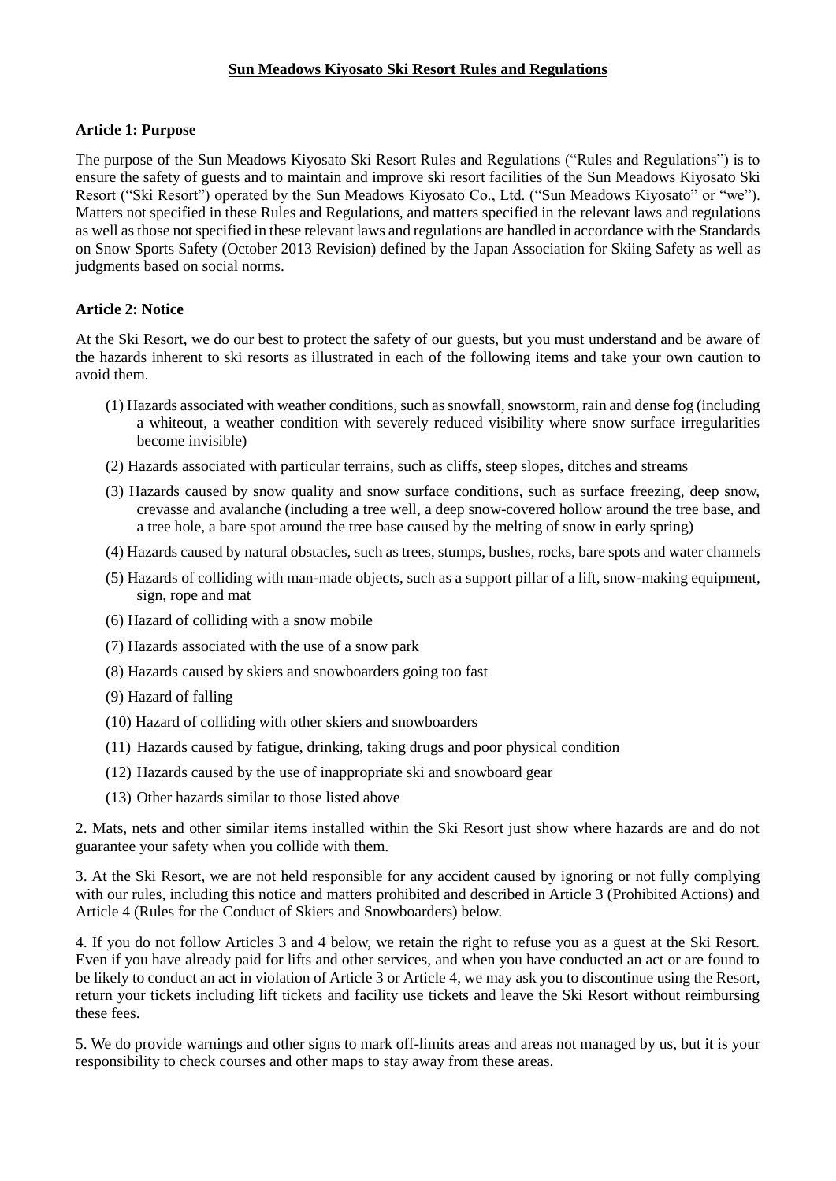## **Sun Meadows Kiyosato Ski Resort Rules and Regulations**

#### **Article 1: Purpose**

The purpose of the Sun Meadows Kiyosato Ski Resort Rules and Regulations ("Rules and Regulations") is to ensure the safety of guests and to maintain and improve ski resort facilities of the Sun Meadows Kiyosato Ski Resort ("Ski Resort") operated by the Sun Meadows Kiyosato Co., Ltd. ("Sun Meadows Kiyosato" or "we"). Matters not specified in these Rules and Regulations, and matters specified in the relevant laws and regulations as well as those not specified in these relevant laws and regulations are handled in accordance with the Standards on Snow Sports Safety (October 2013 Revision) defined by the Japan Association for Skiing Safety as well as judgments based on social norms.

## **Article 2: Notice**

At the Ski Resort, we do our best to protect the safety of our guests, but you must understand and be aware of the hazards inherent to ski resorts as illustrated in each of the following items and take your own caution to avoid them.

- (1) Hazards associated with weather conditions, such as snowfall, snowstorm, rain and dense fog (including a whiteout, a weather condition with severely reduced visibility where snow surface irregularities become invisible)
- (2) Hazards associated with particular terrains, such as cliffs, steep slopes, ditches and streams
- (3) Hazards caused by snow quality and snow surface conditions, such as surface freezing, deep snow, crevasse and avalanche (including a tree well, a deep snow-covered hollow around the tree base, and a tree hole, a bare spot around the tree base caused by the melting of snow in early spring)
- (4) Hazards caused by natural obstacles, such as trees, stumps, bushes, rocks, bare spots and water channels
- (5) Hazards of colliding with man-made objects, such as a support pillar of a lift, snow-making equipment, sign, rope and mat
- (6) Hazard of colliding with a snow mobile
- (7) Hazards associated with the use of a snow park
- (8) Hazards caused by skiers and snowboarders going too fast
- (9) Hazard of falling
- (10) Hazard of colliding with other skiers and snowboarders
- (11) Hazards caused by fatigue, drinking, taking drugs and poor physical condition
- (12) Hazards caused by the use of inappropriate ski and snowboard gear
- (13) Other hazards similar to those listed above

2. Mats, nets and other similar items installed within the Ski Resort just show where hazards are and do not guarantee your safety when you collide with them.

3. At the Ski Resort, we are not held responsible for any accident caused by ignoring or not fully complying with our rules, including this notice and matters prohibited and described in Article 3 (Prohibited Actions) and Article 4 (Rules for the Conduct of Skiers and Snowboarders) below.

4. If you do not follow Articles 3 and 4 below, we retain the right to refuse you as a guest at the Ski Resort. Even if you have already paid for lifts and other services, and when you have conducted an act or are found to be likely to conduct an act in violation of Article 3 or Article 4, we may ask you to discontinue using the Resort, return your tickets including lift tickets and facility use tickets and leave the Ski Resort without reimbursing these fees.

5. We do provide warnings and other signs to mark off-limits areas and areas not managed by us, but it is your responsibility to check courses and other maps to stay away from these areas.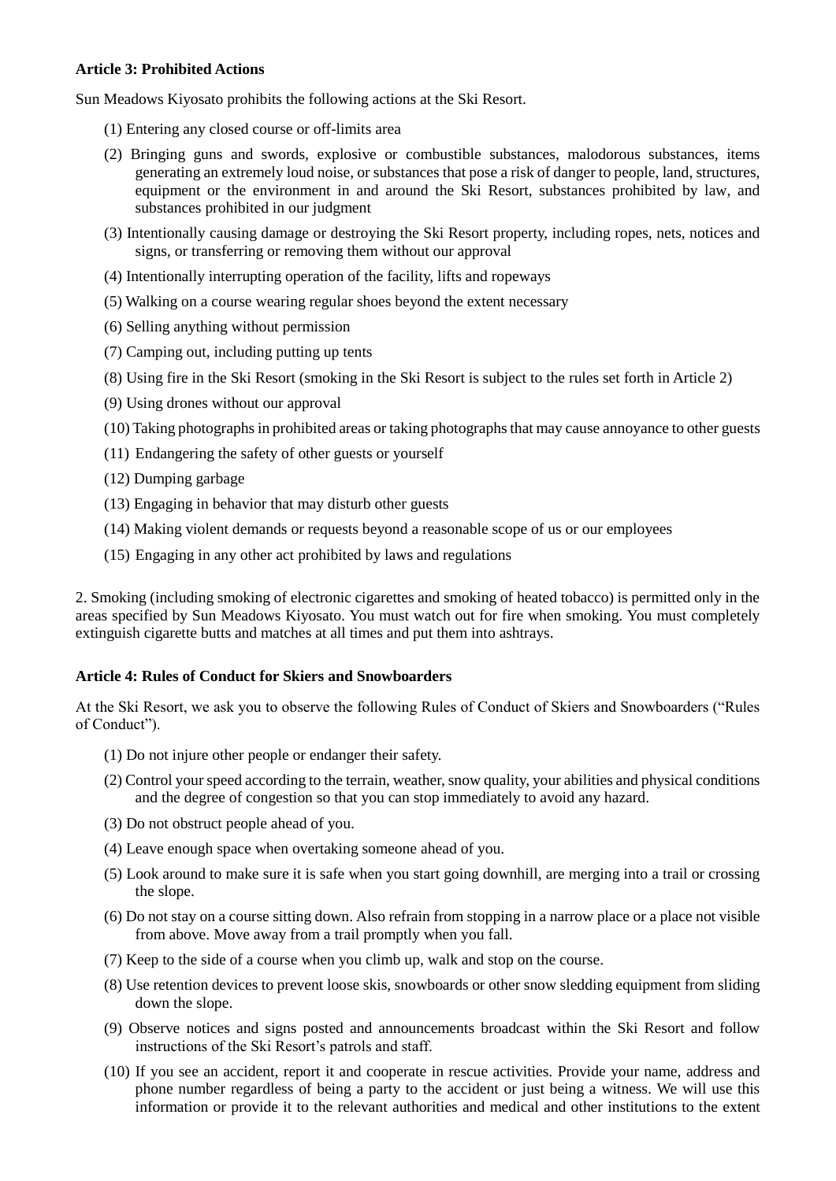### **Article 3: Prohibited Actions**

Sun Meadows Kiyosato prohibits the following actions at the Ski Resort.

- (1) Entering any closed course or off-limits area
- (2) Bringing guns and swords, explosive or combustible substances, malodorous substances, items generating an extremely loud noise, or substances that pose a risk of danger to people, land, structures, equipment or the environment in and around the Ski Resort, substances prohibited by law, and substances prohibited in our judgment
- (3) Intentionally causing damage or destroying the Ski Resort property, including ropes, nets, notices and signs, or transferring or removing them without our approval
- (4) Intentionally interrupting operation of the facility, lifts and ropeways
- (5) Walking on a course wearing regular shoes beyond the extent necessary
- (6) Selling anything without permission
- (7) Camping out, including putting up tents
- (8) Using fire in the Ski Resort (smoking in the Ski Resort is subject to the rules set forth in Article 2)
- (9) Using drones without our approval
- (10) Taking photographs in prohibited areas or taking photographs that may cause annoyance to other guests
- (11) Endangering the safety of other guests or yourself
- (12) Dumping garbage
- (13) Engaging in behavior that may disturb other guests
- (14) Making violent demands or requests beyond a reasonable scope of us or our employees
- (15) Engaging in any other act prohibited by laws and regulations

2. Smoking (including smoking of electronic cigarettes and smoking of heated tobacco) is permitted only in the areas specified by Sun Meadows Kiyosato. You must watch out for fire when smoking. You must completely extinguish cigarette butts and matches at all times and put them into ashtrays.

#### **Article 4: Rules of Conduct for Skiers and Snowboarders**

At the Ski Resort, we ask you to observe the following Rules of Conduct of Skiers and Snowboarders ("Rules of Conduct").

- (1) Do not injure other people or endanger their safety.
- (2) Control your speed according to the terrain, weather, snow quality, your abilities and physical conditions and the degree of congestion so that you can stop immediately to avoid any hazard.
- (3) Do not obstruct people ahead of you.
- (4) Leave enough space when overtaking someone ahead of you.
- (5) Look around to make sure it is safe when you start going downhill, are merging into a trail or crossing the slope.
- (6) Do not stay on a course sitting down. Also refrain from stopping in a narrow place or a place not visible from above. Move away from a trail promptly when you fall.
- (7) Keep to the side of a course when you climb up, walk and stop on the course.
- (8) Use retention devices to prevent loose skis, snowboards or other snow sledding equipment from sliding down the slope.
- (9) Observe notices and signs posted and announcements broadcast within the Ski Resort and follow instructions of the Ski Resort's patrols and staff.
- (10) If you see an accident, report it and cooperate in rescue activities. Provide your name, address and phone number regardless of being a party to the accident or just being a witness. We will use this information or provide it to the relevant authorities and medical and other institutions to the extent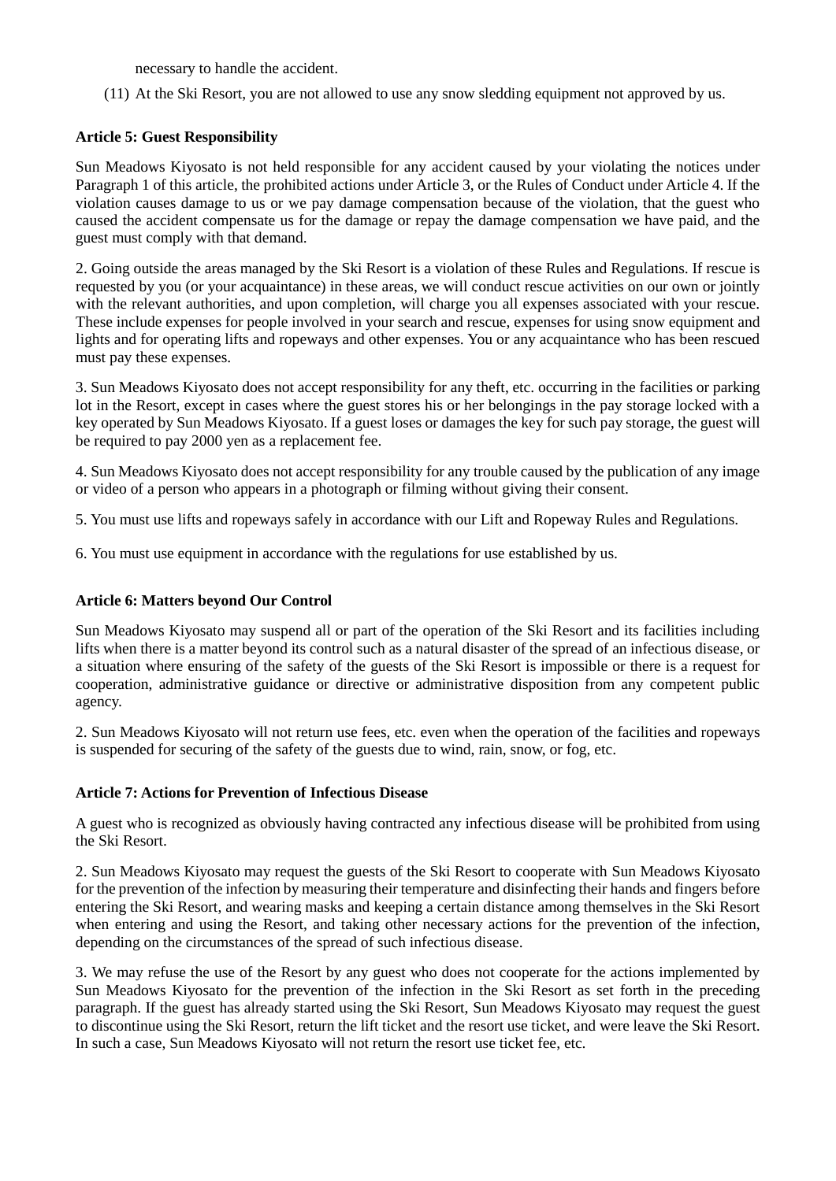necessary to handle the accident.

(11) At the Ski Resort, you are not allowed to use any snow sledding equipment not approved by us.

## **Article 5: Guest Responsibility**

Sun Meadows Kiyosato is not held responsible for any accident caused by your violating the notices under Paragraph 1 of this article, the prohibited actions under Article 3, or the Rules of Conduct under Article 4. If the violation causes damage to us or we pay damage compensation because of the violation, that the guest who caused the accident compensate us for the damage or repay the damage compensation we have paid, and the guest must comply with that demand.

2. Going outside the areas managed by the Ski Resort is a violation of these Rules and Regulations. If rescue is requested by you (or your acquaintance) in these areas, we will conduct rescue activities on our own or jointly with the relevant authorities, and upon completion, will charge you all expenses associated with your rescue. These include expenses for people involved in your search and rescue, expenses for using snow equipment and lights and for operating lifts and ropeways and other expenses. You or any acquaintance who has been rescued must pay these expenses.

3. Sun Meadows Kiyosato does not accept responsibility for any theft, etc. occurring in the facilities or parking lot in the Resort, except in cases where the guest stores his or her belongings in the pay storage locked with a key operated by Sun Meadows Kiyosato. If a guest loses or damages the key for such pay storage, the guest will be required to pay 2000 yen as a replacement fee.

4. Sun Meadows Kiyosato does not accept responsibility for any trouble caused by the publication of any image or video of a person who appears in a photograph or filming without giving their consent.

5. You must use lifts and ropeways safely in accordance with our Lift and Ropeway Rules and Regulations.

6. You must use equipment in accordance with the regulations for use established by us.

#### **Article 6: Matters beyond Our Control**

Sun Meadows Kiyosato may suspend all or part of the operation of the Ski Resort and its facilities including lifts when there is a matter beyond its control such as a natural disaster of the spread of an infectious disease, or a situation where ensuring of the safety of the guests of the Ski Resort is impossible or there is a request for cooperation, administrative guidance or directive or administrative disposition from any competent public agency.

2. Sun Meadows Kiyosato will not return use fees, etc. even when the operation of the facilities and ropeways is suspended for securing of the safety of the guests due to wind, rain, snow, or fog, etc.

# **Article 7: Actions for Prevention of Infectious Disease**

A guest who is recognized as obviously having contracted any infectious disease will be prohibited from using the Ski Resort.

2. Sun Meadows Kiyosato may request the guests of the Ski Resort to cooperate with Sun Meadows Kiyosato for the prevention of the infection by measuring their temperature and disinfecting their hands and fingers before entering the Ski Resort, and wearing masks and keeping a certain distance among themselves in the Ski Resort when entering and using the Resort, and taking other necessary actions for the prevention of the infection, depending on the circumstances of the spread of such infectious disease.

3. We may refuse the use of the Resort by any guest who does not cooperate for the actions implemented by Sun Meadows Kiyosato for the prevention of the infection in the Ski Resort as set forth in the preceding paragraph. If the guest has already started using the Ski Resort, Sun Meadows Kiyosato may request the guest to discontinue using the Ski Resort, return the lift ticket and the resort use ticket, and were leave the Ski Resort. In such a case, Sun Meadows Kiyosato will not return the resort use ticket fee, etc.